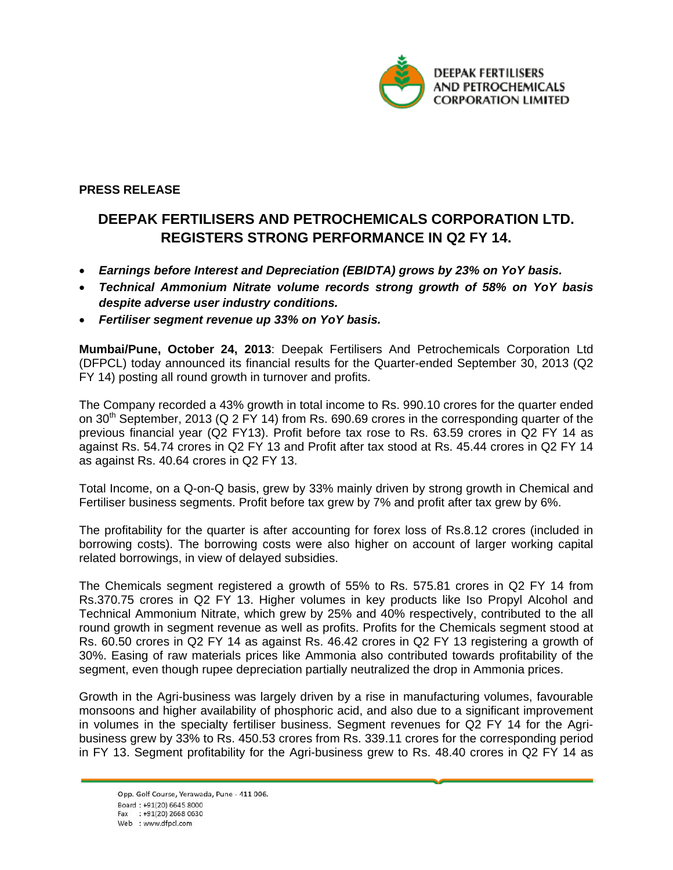

## **PRESS RELEASE**

## **DEEPAK FERTILISERS AND PETROCHEMICALS CORPORATION LTD. REGISTERS STRONG PERFORMANCE IN Q2 FY 14.**

- *Earnings before Interest and Depreciation (EBIDTA) grows by 23% on YoY basis.*
- *Technical Ammonium Nitrate volume records strong growth of 58% on YoY basis despite adverse user industry conditions.*
- *Fertiliser segment revenue up 33% on YoY basis.*

**Mumbai/Pune, October 24, 2013**: Deepak Fertilisers And Petrochemicals Corporation Ltd (DFPCL) today announced its financial results for the Quarter-ended September 30, 2013 (Q2 FY 14) posting all round growth in turnover and profits.

The Company recorded a 43% growth in total income to Rs. 990.10 crores for the quarter ended on  $30<sup>th</sup>$  September, 2013 (Q 2 FY 14) from Rs. 690.69 crores in the corresponding quarter of the previous financial year (Q2 FY13). Profit before tax rose to Rs. 63.59 crores in Q2 FY 14 as against Rs. 54.74 crores in Q2 FY 13 and Profit after tax stood at Rs. 45.44 crores in Q2 FY 14 as against Rs. 40.64 crores in Q2 FY 13.

Total Income, on a Q-on-Q basis, grew by 33% mainly driven by strong growth in Chemical and Fertiliser business segments. Profit before tax grew by 7% and profit after tax grew by 6%.

The profitability for the quarter is after accounting for forex loss of Rs.8.12 crores (included in borrowing costs). The borrowing costs were also higher on account of larger working capital related borrowings, in view of delayed subsidies.

The Chemicals segment registered a growth of 55% to Rs. 575.81 crores in Q2 FY 14 from Rs.370.75 crores in Q2 FY 13. Higher volumes in key products like Iso Propyl Alcohol and Technical Ammonium Nitrate, which grew by 25% and 40% respectively, contributed to the all round growth in segment revenue as well as profits. Profits for the Chemicals segment stood at Rs. 60.50 crores in Q2 FY 14 as against Rs. 46.42 crores in Q2 FY 13 registering a growth of 30%. Easing of raw materials prices like Ammonia also contributed towards profitability of the segment, even though rupee depreciation partially neutralized the drop in Ammonia prices.

Growth in the Agri-business was largely driven by a rise in manufacturing volumes, favourable monsoons and higher availability of phosphoric acid, and also due to a significant improvement in volumes in the specialty fertiliser business. Segment revenues for Q2 FY 14 for the Agribusiness grew by 33% to Rs. 450.53 crores from Rs. 339.11 crores for the corresponding period in FY 13. Segment profitability for the Agri-business grew to Rs. 48.40 crores in Q2 FY 14 as